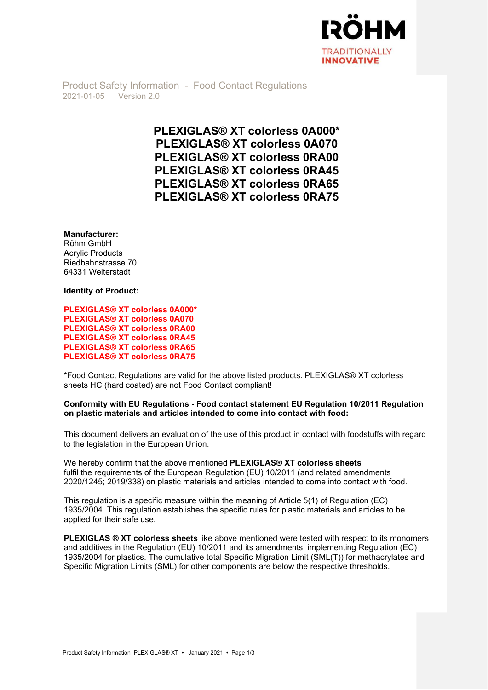

Product Safety Information - Food Contact Regulations 2021-01-05 Version 2.0

> PLEXIGLAS® XT colorless 0A000\* PLEXIGLAS® XT colorless 0A070 PLEXIGLAS® XT colorless 0RA00 PLEXIGLAS® XT colorless 0RA45 PLEXIGLAS® XT colorless 0RA65 PLEXIGLAS® XT colorless 0RA75

Manufacturer:

Röhm GmbH Acrylic Products Riedbahnstrasse 70 64331 Weiterstadt

Identity of Product:

PLEXIGLAS® XT colorless 0A000\* PLEXIGLAS® XT colorless 0A070 PLEXIGLAS® XT colorless 0RA00 PLEXIGLAS® XT colorless 0RA45 PLEXIGLAS® XT colorless 0RA65 PLEXIGLAS® XT colorless 0RA75

\*Food Contact Regulations are valid for the above listed products. PLEXIGLAS® XT colorless sheets HC (hard coated) are not Food Contact compliant!

## Conformity with EU Regulations - Food contact statement EU Regulation 10/2011 Regulation on plastic materials and articles intended to come into contact with food:

This document delivers an evaluation of the use of this product in contact with foodstuffs with regard to the legislation in the European Union.

We hereby confirm that the above mentioned PLEXIGLAS® XT colorless sheets fulfil the requirements of the European Regulation (EU) 10/2011 (and related amendments 2020/1245; 2019/338) on plastic materials and articles intended to come into contact with food.

This regulation is a specific measure within the meaning of Article 5(1) of Regulation (EC) 1935/2004. This regulation establishes the specific rules for plastic materials and articles to be applied for their safe use.

PLEXIGLAS ® XT colorless sheets like above mentioned were tested with respect to its monomers and additives in the Regulation (EU) 10/2011 and its amendments, implementing Regulation (EC) 1935/2004 for plastics. The cumulative total Specific Migration Limit (SML(T)) for methacrylates and Specific Migration Limits (SML) for other components are below the respective thresholds.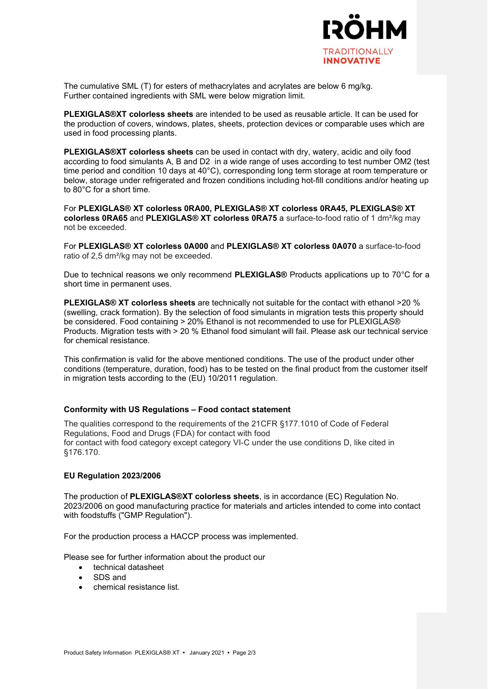

The cumulative SML (T) for esters of methacrylates and acrylates are below 6 mg/kg. Further contained ingredients with SML were below migration limit.

PLEXIGLAS®XT colorless sheets are intended to be used as reusable article. It can be used for the production of covers, windows, plates, sheets, protection devices or comparable uses which are used in food processing plants.

PLEXIGLAS®XT colorless sheets can be used in contact with dry, watery, acidic and oily food according to food simulants A, B and D2 in a wide range of uses according to test number OM2 (test time period and condition 10 days at 40°C), corresponding long term storage at room temperature or below, storage under refrigerated and frozen conditions including hot-fill conditions and/or heating up to 80°C for a short time.

For PLEXIGLAS® XT colorless 0RA00, PLEXIGLAS® XT colorless 0RA45, PLEXIGLAS® XT colorless 0RA65 and PLEXIGLAS® XT colorless 0RA75 a surface-to-food ratio of 1 dm<sup>2</sup>/kg may not be exceeded.

For PLEXIGLAS® XT colorless 0A000 and PLEXIGLAS® XT colorless 0A070 a surface-to-food ratio of 2,5 dm²/kg may not be exceeded.

Due to technical reasons we only recommend **PLEXIGLAS®** Products applications up to 70°C for a short time in permanent uses.

PLEXIGLAS® XT colorless sheets are technically not suitable for the contact with ethanol >20 % (swelling, crack formation). By the selection of food simulants in migration tests this property should be considered. Food containing > 20% Ethanol is not recommended to use for PLEXIGLAS® Products. Migration tests with > 20 % Ethanol food simulant will fail. Please ask our technical service for chemical resistance.

This confirmation is valid for the above mentioned conditions. The use of the product under other conditions (temperature, duration, food) has to be tested on the final product from the customer itself in migration tests according to the (EU) 10/2011 regulation.

## Conformity with US Regulations – Food contact statement

The qualities correspond to the requirements of the 21CFR §177.1010 of Code of Federal Regulations, Food and Drugs (FDA) for contact with food for contact with food category except category VI-C under the use conditions D, like cited in §176.170.

## EU Regulation 2023/2006

The production of PLEXIGLAS®XT colorless sheets, is in accordance (EC) Regulation No. 2023/2006 on good manufacturing practice for materials and articles intended to come into contact with foodstuffs ("GMP Regulation").

For the production process a HACCP process was implemented.

Please see for further information about the product our

- technical datasheet
- SDS and
- chemical resistance list.